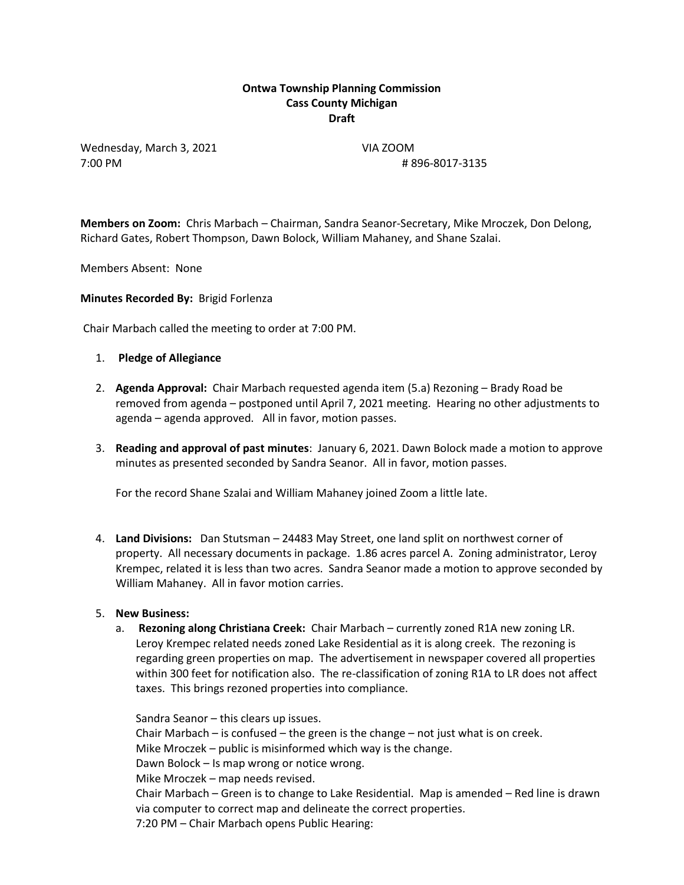# **Ontwa Township Planning Commission Cass County Michigan Draft**

Wednesday, March 3, 2021 VIA ZOOM 7:00 PM # 896-8017-3135

**Members on Zoom:** Chris Marbach – Chairman, Sandra Seanor-Secretary, Mike Mroczek, Don Delong, Richard Gates, Robert Thompson, Dawn Bolock, William Mahaney, and Shane Szalai.

Members Absent: None

**Minutes Recorded By:** Brigid Forlenza

Chair Marbach called the meeting to order at 7:00 PM.

- 1. **Pledge of Allegiance**
- 2. **Agenda Approval:** Chair Marbach requested agenda item (5.a) Rezoning Brady Road be removed from agenda – postponed until April 7, 2021 meeting. Hearing no other adjustments to agenda – agenda approved. All in favor, motion passes.
- 3. **Reading and approval of past minutes**: January 6, 2021. Dawn Bolock made a motion to approve minutes as presented seconded by Sandra Seanor. All in favor, motion passes.

For the record Shane Szalai and William Mahaney joined Zoom a little late.

4. **Land Divisions:** Dan Stutsman – 24483 May Street, one land split on northwest corner of property. All necessary documents in package. 1.86 acres parcel A. Zoning administrator, Leroy Krempec, related it is less than two acres. Sandra Seanor made a motion to approve seconded by William Mahaney. All in favor motion carries.

#### 5. **New Business:**

a. **Rezoning along Christiana Creek:** Chair Marbach – currently zoned R1A new zoning LR. Leroy Krempec related needs zoned Lake Residential as it is along creek. The rezoning is regarding green properties on map. The advertisement in newspaper covered all properties within 300 feet for notification also. The re-classification of zoning R1A to LR does not affect taxes. This brings rezoned properties into compliance.

Sandra Seanor – this clears up issues. Chair Marbach – is confused – the green is the change – not just what is on creek. Mike Mroczek – public is misinformed which way is the change. Dawn Bolock – Is map wrong or notice wrong. Mike Mroczek – map needs revised. Chair Marbach – Green is to change to Lake Residential. Map is amended – Red line is drawn via computer to correct map and delineate the correct properties. 7:20 PM – Chair Marbach opens Public Hearing: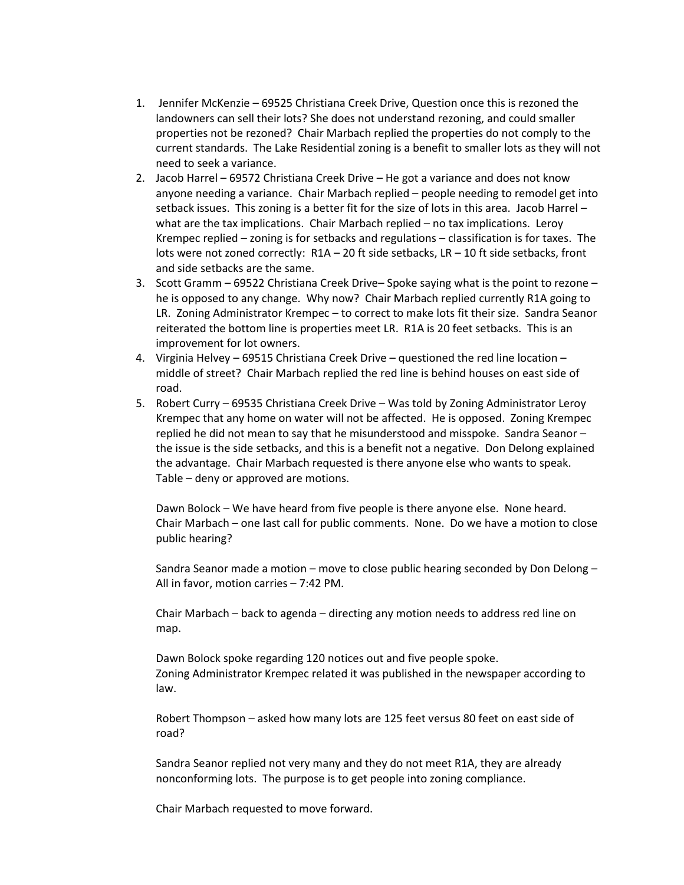- 1. Jennifer McKenzie 69525 Christiana Creek Drive, Question once this is rezoned the landowners can sell their lots? She does not understand rezoning, and could smaller properties not be rezoned? Chair Marbach replied the properties do not comply to the current standards. The Lake Residential zoning is a benefit to smaller lots as they will not need to seek a variance.
- 2. Jacob Harrel 69572 Christiana Creek Drive He got a variance and does not know anyone needing a variance. Chair Marbach replied – people needing to remodel get into setback issues. This zoning is a better fit for the size of lots in this area. Jacob Harrel – what are the tax implications. Chair Marbach replied – no tax implications. Leroy Krempec replied – zoning is for setbacks and regulations – classification is for taxes. The lots were not zoned correctly: R1A – 20 ft side setbacks, LR – 10 ft side setbacks, front and side setbacks are the same.
- 3. Scott Gramm 69522 Christiana Creek Drive– Spoke saying what is the point to rezone he is opposed to any change. Why now? Chair Marbach replied currently R1A going to LR. Zoning Administrator Krempec – to correct to make lots fit their size. Sandra Seanor reiterated the bottom line is properties meet LR. R1A is 20 feet setbacks. This is an improvement for lot owners.
- 4. Virginia Helvey 69515 Christiana Creek Drive questioned the red line location middle of street? Chair Marbach replied the red line is behind houses on east side of road.
- 5. Robert Curry 69535 Christiana Creek Drive Was told by Zoning Administrator Leroy Krempec that any home on water will not be affected. He is opposed. Zoning Krempec replied he did not mean to say that he misunderstood and misspoke. Sandra Seanor – the issue is the side setbacks, and this is a benefit not a negative. Don Delong explained the advantage. Chair Marbach requested is there anyone else who wants to speak. Table – deny or approved are motions.

Dawn Bolock – We have heard from five people is there anyone else. None heard. Chair Marbach – one last call for public comments. None. Do we have a motion to close public hearing?

Sandra Seanor made a motion – move to close public hearing seconded by Don Delong – All in favor, motion carries – 7:42 PM.

Chair Marbach – back to agenda – directing any motion needs to address red line on map.

Dawn Bolock spoke regarding 120 notices out and five people spoke. Zoning Administrator Krempec related it was published in the newspaper according to law.

Robert Thompson – asked how many lots are 125 feet versus 80 feet on east side of road?

Sandra Seanor replied not very many and they do not meet R1A, they are already nonconforming lots. The purpose is to get people into zoning compliance.

Chair Marbach requested to move forward.